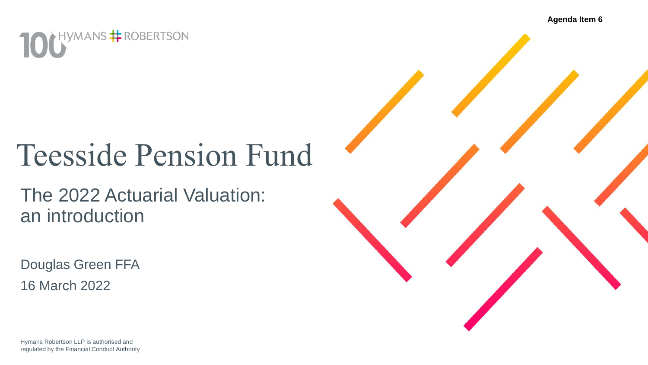**Agenda Item 6**



## Teesside Pension Fund

The 2022 Actuarial Valuation: an introduction

Douglas Green FFA 16 March 2022

Hymans Robertson LLP is authorised and regulated by the Financial Conduct Authority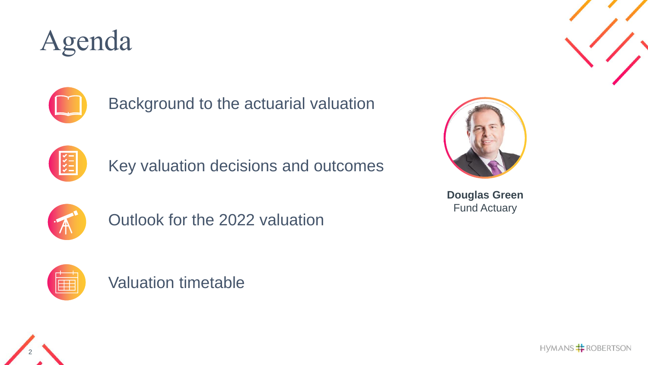## Agenda



Background to the actuarial valuation



Key valuation decisions and outcomes



Outlook for the 2022 valuation



Valuation timetable



**Douglas Green** Fund Actuary



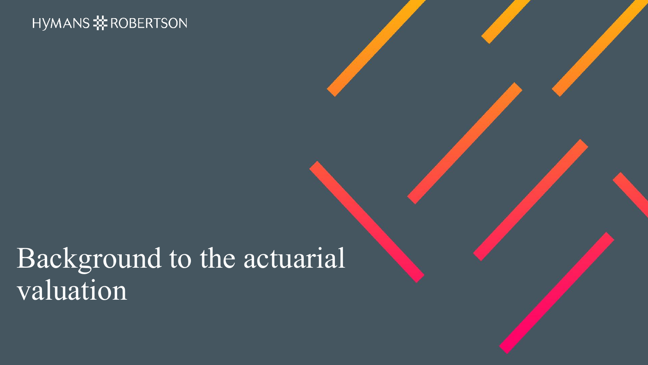### Background to the actuarial valuation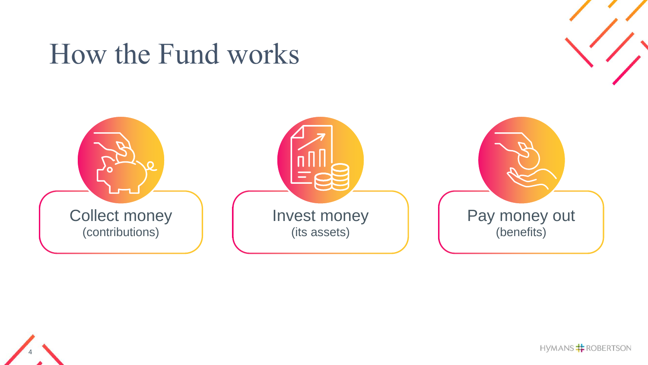### How the Fund works





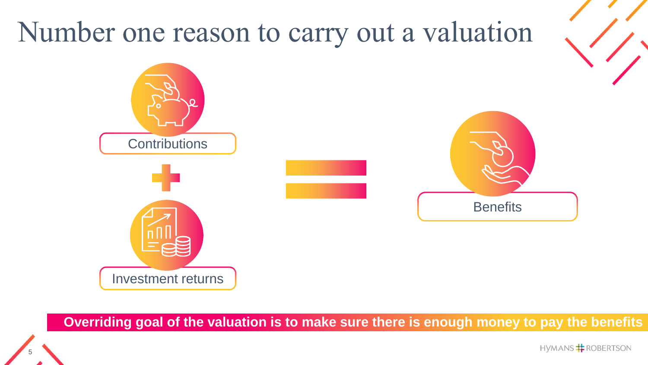

**Overriding goal of the valuation is to make sure there is enough money to pay the benefits**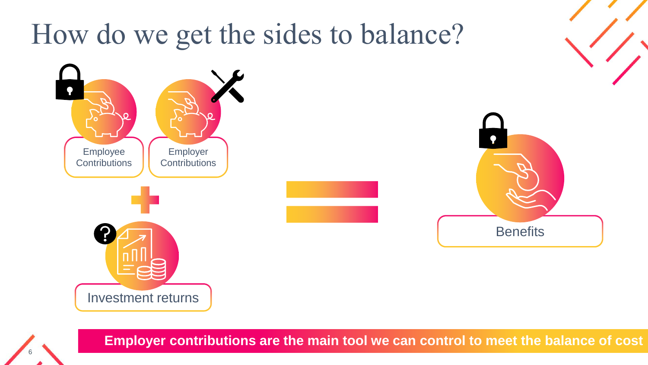![](_page_5_Figure_0.jpeg)

**Employer contributions are the main tool we can control to meet the balance of cost**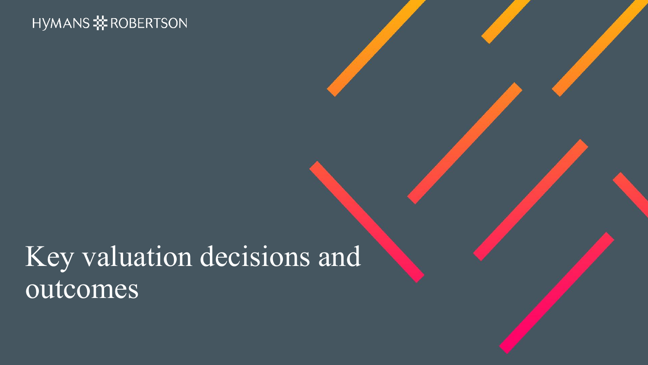## Key valuation decisions and outcomes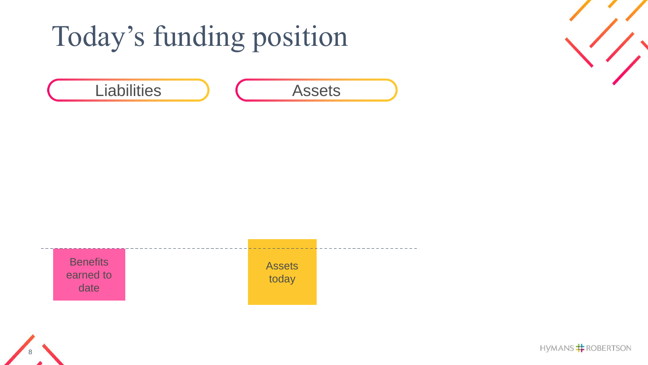# Today's funding position

Liabilities ) ( Assets

![](_page_7_Figure_1.jpeg)

![](_page_7_Figure_2.jpeg)

![](_page_7_Picture_4.jpeg)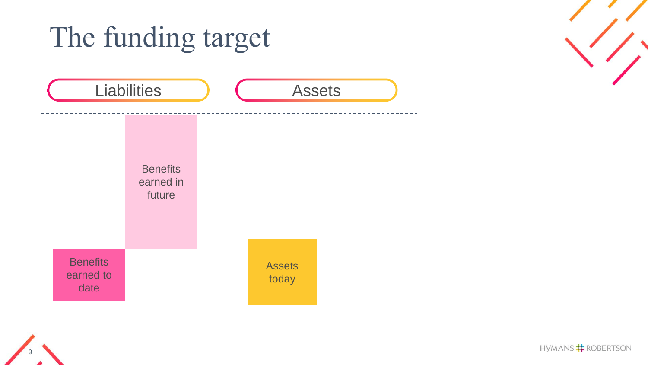![](_page_8_Figure_0.jpeg)

![](_page_8_Figure_1.jpeg)

![](_page_8_Picture_2.jpeg)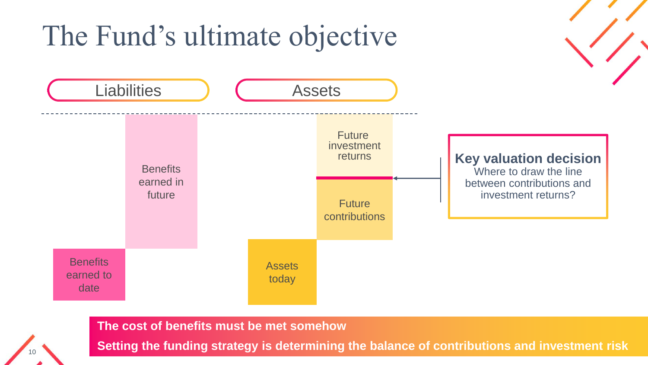### The Fund's ultimate objective

![](_page_9_Figure_1.jpeg)

**The cost of benefits must be met somehow**

10

**Setting the funding strategy is determining the balance of contributions and investment risk**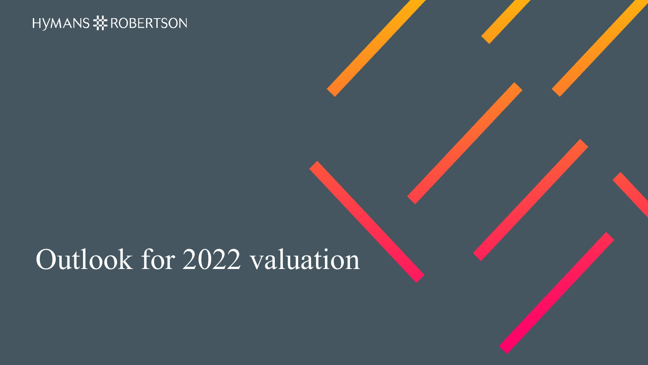### Outlook for 2022 valuation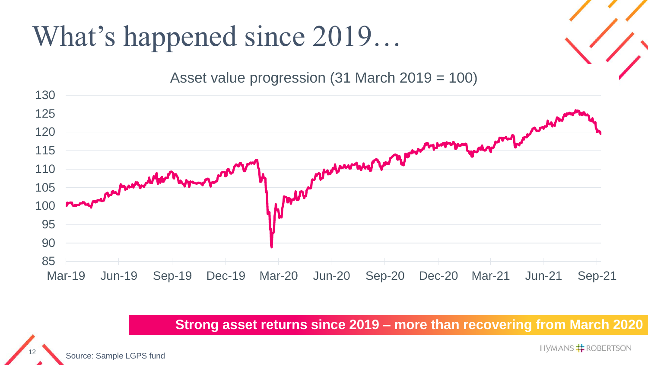## What's happened since 2019…

Asset value progression (31 March 2019 = 100)

![](_page_11_Figure_2.jpeg)

**Strong asset returns since 2019 – more than recovering from March 2020**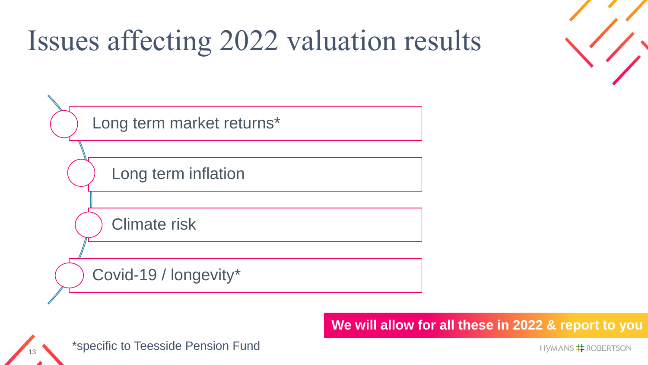## Issues affecting 2022 valuation results

![](_page_12_Figure_1.jpeg)

**We will allow for all these in 2022 & report to you**

![](_page_12_Picture_3.jpeg)

13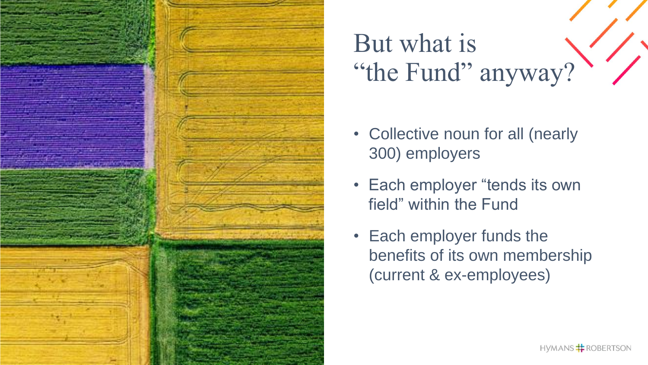![](_page_13_Picture_0.jpeg)

## But what is "the Fund" anyway?

- Collective noun for all (nearly 300) employers
- Each employer "tends its own field" within the Fund
- Each employer funds the benefits of its own membership (current & ex -employees)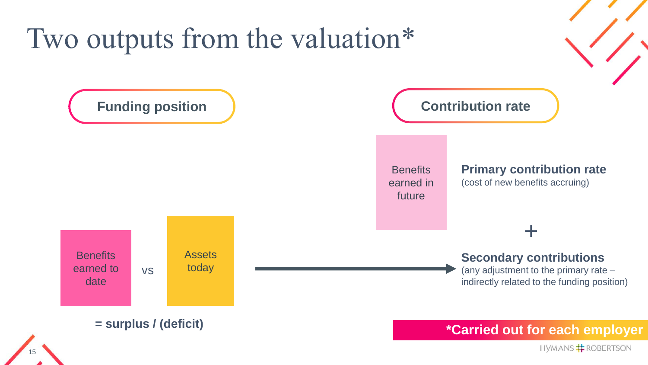![](_page_14_Figure_0.jpeg)

15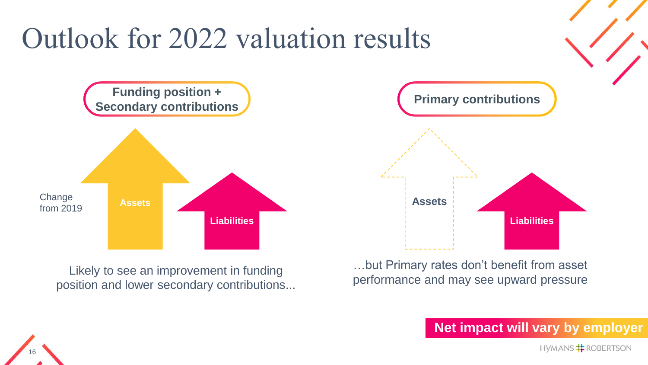![](_page_15_Figure_0.jpeg)

position and lower secondary contributions...

16

performance and may see upward pressure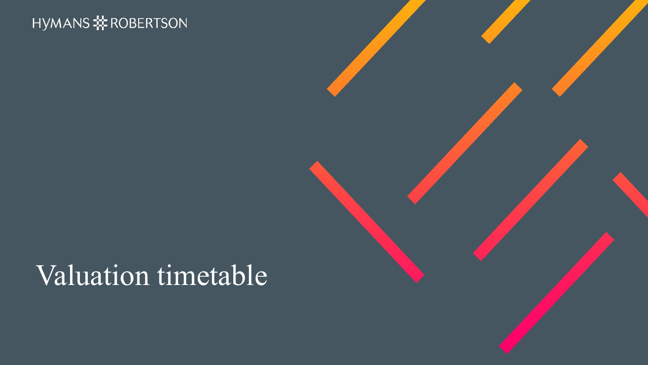### Valuation timetable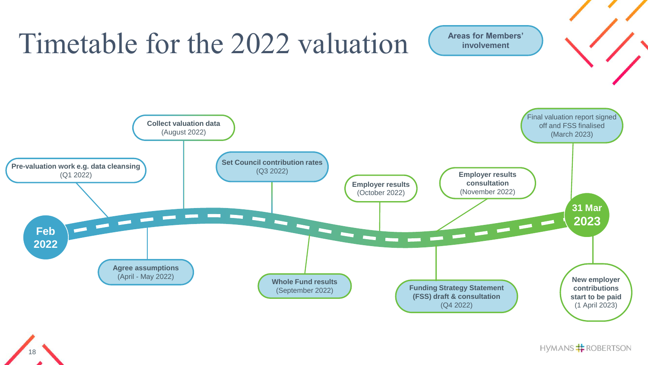![](_page_17_Figure_0.jpeg)

18